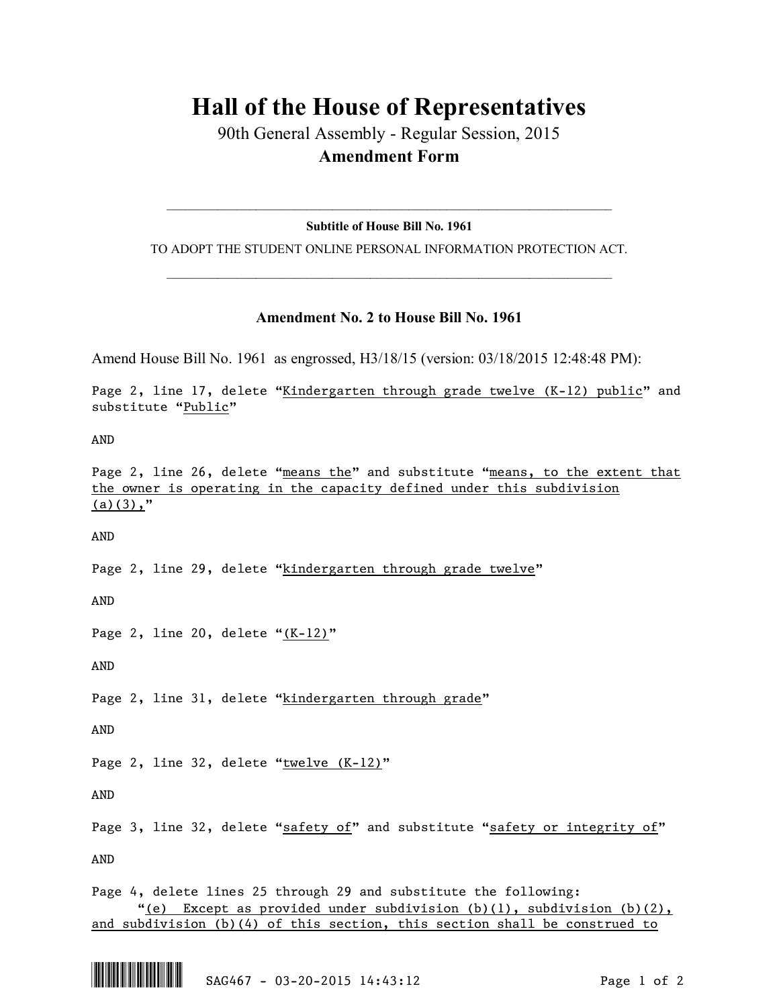## **Hall of the House of Representatives**

90th General Assembly - Regular Session, 2015 **Amendment Form**

 $\_$  , and the set of the set of the set of the set of the set of the set of the set of the set of the set of the set of the set of the set of the set of the set of the set of the set of the set of the set of the set of th **Subtitle of House Bill No. 1961**

TO ADOPT THE STUDENT ONLINE PERSONAL INFORMATION PROTECTION ACT.  $\_$  , and the set of the set of the set of the set of the set of the set of the set of the set of the set of the set of the set of the set of the set of the set of the set of the set of the set of the set of the set of th

## **Amendment No. 2 to House Bill No. 1961**

Amend House Bill No. 1961 as engrossed, H3/18/15 (version: 03/18/2015 12:48:48 PM):

Page 2, line 17, delete "Kindergarten through grade twelve (K-12) public" and substitute "Public"

AND

Page 2, line 26, delete "means the" and substitute "means, to the extent that the owner is operating in the capacity defined under this subdivision  $(a)(3)$ ,"

AND

Page 2, line 29, delete "kindergarten through grade twelve"

AND

Page 2, line 20, delete " $(K-12)$ "

AND

Page 2, line 31, delete "kindergarten through grade"

AND

Page 2, line 32, delete "twelve (K-12)"

AND

Page 3, line 32, delete "safety of" and substitute "safety or integrity of"

AND

Page 4, delete lines 25 through 29 and substitute the following: "(e) Except as provided under subdivision  $(b)(1)$ , subdivision  $(b)(2)$ , and subdivision (b)(4) of this section, this section shall be construed to